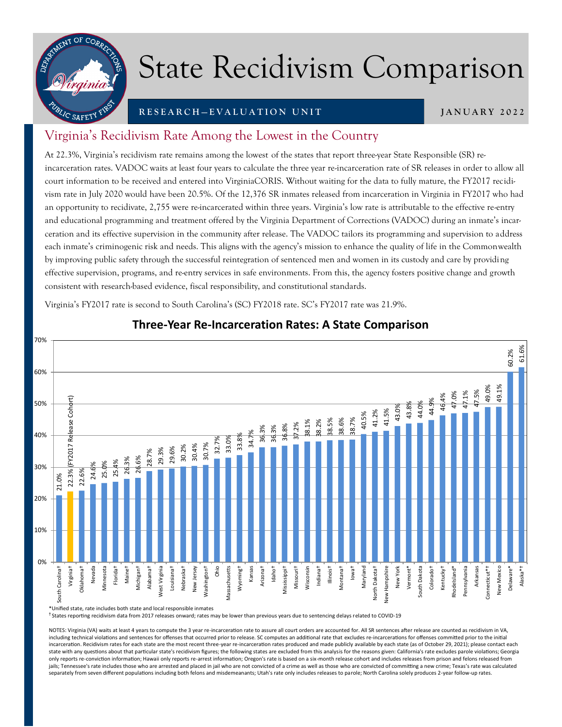

## State Recidivism Comparison

#### **R E S E A R C H — E V A L U A T I O N U N I T**

**J A N U A R Y 2 0 2 2**

### Virginia's Recidivism Rate Among the Lowest in the Country

At 22.3%, Virginia's recidivism rate remains among the lowest of the states that report three-year State Responsible (SR) reincarceration rates. VADOC waits at least four years to calculate the three year re-incarceration rate of SR releases in order to allow all court information to be received and entered into VirginiaCORIS. Without waiting for the data to fully mature, the FY2017 recidivism rate in July 2020 would have been 20.5%. Of the 12,376 SR inmates released from incarceration in Virginia in FY2017 who had an opportunity to recidivate, 2,755 were re-incarcerated within three years. Virginia's low rate is attributable to the effective re-entry and educational programming and treatment offered by the Virginia Department of Corrections (VADOC) during an inmate's incarceration and its effective supervision in the community after release. The VADOC tailors its programming and supervision to address each inmate's criminogenic risk and needs. This aligns with the agency's mission to enhance the quality of life in the Commonwealth by improving public safety through the successful reintegration of sentenced men and women in its custody and care by providing effective supervision, programs, and re-entry services in safe environments. From this, the agency fosters positive change and growth consistent with research-based evidence, fiscal responsibility, and constitutional standards.

Virginia's FY2017 rate is second to South Carolina's (SC) FY2018 rate. SC's FY2017 rate was 21.9%.



#### **Three-Year Re-Incarceration Rates: A State Comparison**

\*Unified state, rate includes both state and local responsible inmates

<sup>†</sup> States reporting recidivism data from 2017 releases onward; rates may be lower than previous years due to sentencing delays related to COVID-19

NOTES: Virginia (VA) waits at least 4 years to compute the 3 year re-incarceration rate to assure all court orders are accounted for. All SR sentences after release are counted as recidivism in VA, including technical violations and sentences for offenses that occurred prior to release. SC computes an additional rate that excludes re-incarcerations for offenses committed prior to the initial incarceration. Recidivism rates for each state are the most recent three-year re-incarceration rates produced and made publicly available by each state (as of October 29, 2021); please contact each state with any questions about that particular state's recidivism figures; the following states are excluded from this analysis for the reasons given: California's rate excludes parole violations; Georgia only reports re-conviction information; Hawaii only reports re-arrest information; Oregon's rate is based on a six-month release cohort and includes releases from prison and felons released from jails; Tennessee's rate includes those who are arrested and placed in jail who are not convicted of a crime as well as those who are convicted of committing a new crime; Texas's rate was calculated separately from seven different populations including both felons and misdemeanants; Utah's rate only includes releases to parole; North Carolina solely produces 2-year follow-up rates.